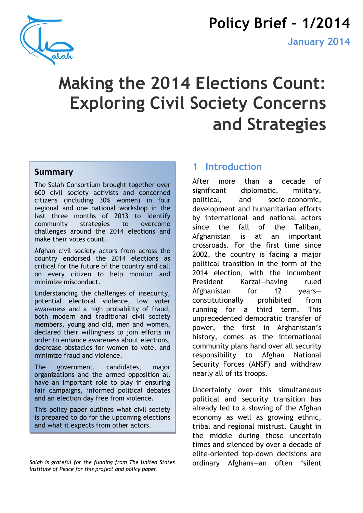

# **Policy Brief ² 1/2014**

# **Making the 2014 Elections Count: Exploring Civil Society Concerns and Strategies**

#### **Summary'**

The Salah Consortium brought together over 600 civil society activists and concerned citizens (including 30% women) in four regional and one national workshop in the last three months of 2013 to identify community strategies to overcome challenges around the 2014 elections and make their votes count.

Afghan civil society actors from across the country endorsed the 2014 elections as critical for the future of the country and call on every citizen to help monitor and minimize misconduct.

Understanding the challenges of insecurity, potential electoral violence, low voter awareness and a high probability of fraud, both modern and traditional civil society members, young and old, men and women, declared their willingness to join efforts in order to enhance awareness about elections, decrease obstacles for women to vote, and minimize fraud and violence.

The government, candidates, major organizations and the armed opposition all have an important role to play in ensuring fair campaigns, informed political debates and an election day free from violence.

This policy paper outlines what civil society is prepared to do for the upcoming elections and what it expects from other actors.

#### *Salah is grateful for the funding from The United States Institute of Peace for this project and policy paper.*

### **1 Introduction**

After more than a decade of significant diplomatic, military, political, and socio-economic, development and humanitarian efforts by international and national actors since the fall of the Taliban, Afghanistan is at an important crossroads. For the first time since 2002, the country is facing a major political transition in the form of the 2014 election, with the incumbent President Karzai-having ruled Afghanistan for  $12$  yearsconstitutionally prohibited from running for a third term. This unprecedented democratic transfer of power, the first in Afghanistan's history, comes as the international community plans hand over all security responsibility to Afghan National Security Forces (ANSF) and withdraw nearly all of its troops.

Uncertainty over this simultaneous political and security transition has already led to a slowing of the Afghan economy as well as growing ethnic, tribal and regional mistrust. Caught in the middle during these uncertain times and silenced by over a decade of elite-oriented top-down decisions are ordinary Afghans-an often 'silent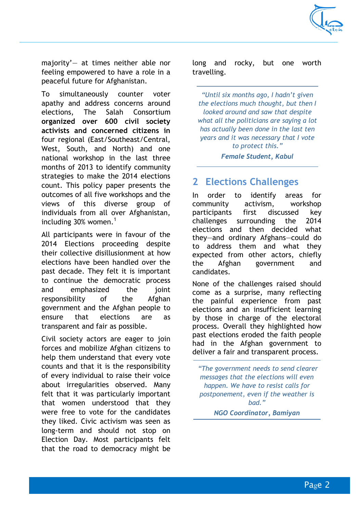

majority' $-$  at times neither able nor feeling empowered to have a role in a peaceful future for Afghanistan.

To simultaneously counter voter apathy and address concerns around elections, The Salah Consortium **organized over 600 civil society activists and concerned citizens in** four regional (East/Southeast/Central, West, South, and North) and one national workshop in the last three months of 2013 to identify community strategies to make the 2014 elections count. This policy paper presents the outcomes of all five workshops and the views of this diverse group of individuals from all over Afghanistan, including 30% women.<sup>1</sup>

All participants were in favour of the 2014 Elections proceeding despite their collective disillusionment at how elections have been handled over the past decade. They felt it is important to continue the democratic process and emphasized the joint responsibility of the Afghan government and the Afghan people to ensure that elections are as transparent and fair as possible.

Civil society actors are eager to join forces and mobilize Afghan citizens to help them understand that every vote counts and that it is the responsibility of every individual to raise their voice about irregularities observed. Many felt that it was particularly important that women understood that they were free to vote for the candidates they liked. Civic activism was seen as long-term and should not stop on Election Day. Most participants felt that the road to democracy might be long and rocky, but one worth travelling.

"Until six months ago, I hadn't given *the elections much thought, but then I looked around and saw that despite what all the politicians are saying a lot has actually been done in the last ten years and it was necessary that I vote to protect this.µ*

*Female Student, Kabul*

# **2 Elections Challenges**

In order to identify areas for community activism, workshop participants first discussed key challenges surrounding the 2014 elections and then decided what they-and ordinary Afghans-could do to address them and what they expected from other actors, chiefly the Afghan government and candidates.

None of the challenges raised should come as a surprise, many reflecting the painful experience from past elections and an insufficient learning by those in charge of the electoral process. Overall they highlighted how past elections eroded the faith people had in the Afghan government to deliver a fair and transparent process.

*´The government needs to send clearer messages that the elections will even happen. We have to resist calls for postponement, even if the weather is bad*."

*NGO Coordinator, Bamiyan*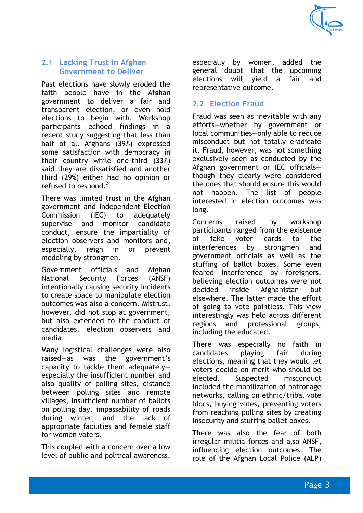

#### **2.1 Lacking Trust in Afghan Government to Deliver**

Past elections have slowly eroded the faith people have in the Afghan government to deliver a fair and transparent election, or even hold elections to begin with. Workshop participants echoed findings in a recent study suggesting that less than half of all Afghans (39%) expressed some satisfaction with democracy in their country while one-third (33%) said they are dissatisfied and another third (29%) either had no opinion or refused to respond.<sup>2</sup>

There was limited trust in the Afghan government and Independent Election Commission (IEC) to adequately supervise and monitor candidate conduct, ensure the impartiality of election observers and monitors and, especially, reign in or prevent meddling by strongmen.

Government officials and Afghan National Security Forces (ANSF) intentionally causing security incidents to create space to manipulate election outcomes was also a concern. Mistrust, however, did not stop at government, but also extended to the conduct of candidates, election observers and media.

Many logistical challenges were also raised $-\text{as}$  was the government's capacity to tackle them adequatelyespecially the insufficient number and also quality of polling sites, distance between polling sites and remote villages, insufficient number of ballots on polling day, impassability of roads during winter, and the lack of appropriate facilities and female staff for women voters.

This coupled with a concern over a low level of public and political awareness,

especially by women, added the general doubt that the upcoming elections will yield a fair and representative outcome.

#### **2.2 Election Fraud**

Fraud was seen as inevitable with any efforts-whether by government or local communities-only able to reduce misconduct but not totally eradicate it. Fraud, however, was not something exclusively seen as conducted by the Afghan government or IEC officialsthough they clearly were considered the ones that should ensure this would not happen. The list of people interested in election outcomes was long.

Concerns raised by workshop participants ranged from the existence of fake voter cards to the interferences by strongmen and government officials as well as the stuffing of ballot boxes. Some even feared interference by foreigners, believing election outcomes were not decided inside Afghanistan but elsewhere. The latter made the effort of going to vote pointless. This view interestingly was held across different regions and professional groups, including the educated.

There was especially no faith in candidates playing fair during elections, meaning that they would let voters decide on merit who should be elected. Suspected misconduct included the mobilization of patronage networks, calling on ethnic/tribal vote blocs, buying votes, preventing voters from reaching polling sites by creating insecurity and stuffing ballet boxes.

There was also the fear of both irregular militia forces and also ANSF, influencing election outcomes. The role of the Afghan Local Police (ALP)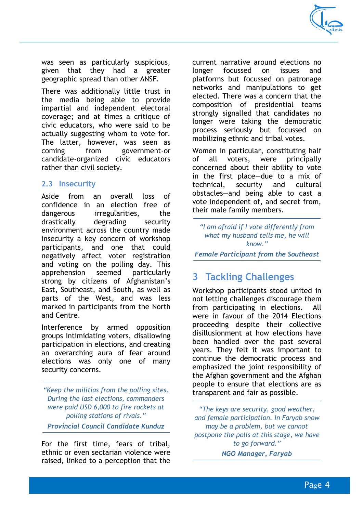

was seen as particularly suspicious, given that they had a greater geographic spread than other ANSF.

There was additionally little trust in the media being able to provide impartial and independent electoral coverage; and at times a critique of civic educators, who were said to be actually suggesting whom to vote for. The latter, however, was seen as coming from government-or candidate-organized civic educators rather than civil society.

#### **2.3 Insecurity**

Aside from an overall loss of confidence in an election free of dangerous irregularities, the drastically degrading security environment across the country made insecurity a key concern of workshop participants, and one that could negatively affect voter registration and voting on the polling day. This apprehension seemed particularly strong by citizens of Afghanistan's East, Southeast, and South, as well as parts of the West, and was less marked in participants from the North and Centre.

Interference by armed opposition groups intimidating voters, disallowing participation in elections, and creating an overarching aura of fear around elections was only one of many security concerns.

*´Keep the militias from the polling sites. During the last elections, commanders were paid USD 6,000 to fire rockets at polling stations of rivals." Provincial Council Candidate Kunduz*

For the first time, fears of tribal, ethnic or even sectarian violence were raised, linked to a perception that the current narrative around elections no longer focussed on issues and platforms but focussed on patronage networks and manipulations to get elected. There was a concern that the composition of presidential teams strongly signalled that candidates no longer were taking the democratic process seriously but focussed on mobilizing ethnic and tribal votes.

Women in particular, constituting half of all voters, were principally concerned about their ability to vote in the first place-due to a mix of technical, security and cultural obstacles—and being able to cast a vote independent of, and secret from, their male family members.

*"I* am afraid if *I* vote differently from *what my husband tells me, he will know.*"

*Female Participant from the Southeast*

# **3 Tackling Challenges**

Workshop participants stood united in not letting challenges discourage them from participating in elections. All were in favour of the 2014 Elections proceeding despite their collective disillusionment at how elections have been handled over the past several years. They felt it was important to continue the democratic process and emphasized the joint responsibility of the Afghan government and the Afghan people to ensure that elections are as transparent and fair as possible.

*´The keys are security, good weather, and female participation. In Faryab snow may be a problem, but we cannot postpone the polls at this stage, we have*  to go forward." *NGO Manager, Faryab*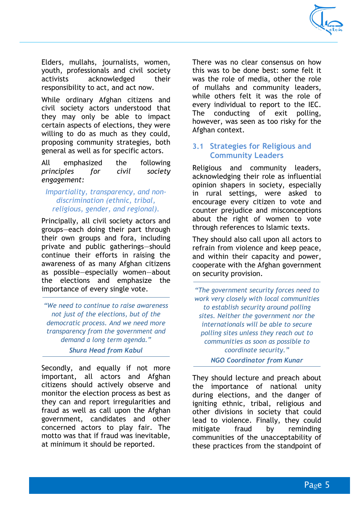

Elders, mullahs, journalists, women, youth, professionals and civil society activists acknowledged their responsibility to act, and act now.

While ordinary Afghan citizens and civil society actors understood that they may only be able to impact certain aspects of elections, they were willing to do as much as they could, proposing community strategies, both general as well as for specific actors.

All emphasized the following *principles for civil society engagement:* 

#### *Impartiality, transparency, and nondiscrimination (ethnic, tribal, religious, gender, and regional).*

Principally, all civil society actors and groups-each doing their part through their own groups and fora, including private and public gatherings-should continue their efforts in raising the awareness of as many Afghan citizens as possible-especially women-about the elections and emphasize the importance of every single vote.

*´We need to continue to raise awareness not just of the elections, but of the democratic process. And we need more transparency from the government and demand a long term agenda." Shura Head from Kabul*

Secondly, and equally if not more important, all actors and Afghan citizens should actively observe and monitor the election process as best as they can and report irregularities and fraud as well as call upon the Afghan government, candidates and other concerned actors to play fair. The motto was that if fraud was inevitable, at minimum it should be reported.

There was no clear consensus on how this was to be done best: some felt it was the role of media, other the role of mullahs and community leaders, while others felt it was the role of every individual to report to the IEC. The conducting of exit polling, however, was seen as too risky for the Afghan context.

#### **3.1 Strategies for Religious and Community Leaders**

Religious and community leaders, acknowledging their role as influential opinion shapers in society, especially in rural settings, were asked to encourage every citizen to vote and counter prejudice and misconceptions about the right of women to vote through references to Islamic texts.

They should also call upon all actors to refrain from violence and keep peace, and within their capacity and power, cooperate with the Afghan government on security provision.

*´7KHJRYHUQPHQWVHFXULW\forces need to work very closely with local communities to establish security around polling sites. Neither the government nor the internationals will be able to secure polling sites unless they reach out to communities as soon as possible to coordinate security."* 

*NGO Coordinator from Kunar*

They should lecture and preach about the importance of national unity during elections, and the danger of igniting ethnic, tribal, religious and other divisions in society that could lead to violence. Finally, they could mitigate fraud by reminding communities of the unacceptability of these practices from the standpoint of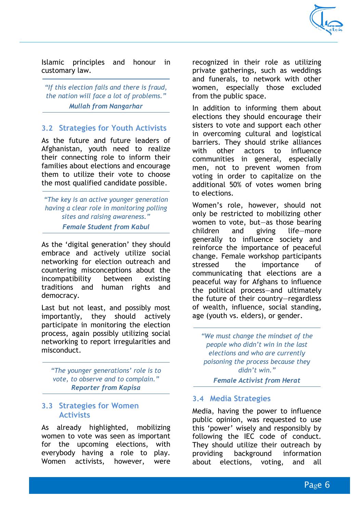

Islamic principles and honour in customary law.

"If this election fails and there is fraud, *the nation will face a lot of problems.*" *Mullah from Nangarhar*

#### **3.2 Strategies for Youth Activists**

As the future and future leaders of Afghanistan, youth need to realize their connecting role to inform their families about elections and encourage them to utilize their vote to choose the most qualified candidate possible.

*´7he key is an active younger generation having a clear role in monitoring polling sites and raising awareness.*" *Female Student from Kabul*

As the 'digital generation' they should embrace and actively utilize social networking for election outreach and countering misconceptions about the incompatibility between existing traditions and human rights and democracy.

Last but not least, and possibly most importantly, they should actively participate in monitoring the election process, again possibly utilizing social networking to report irregularities and misconduct.

*"The younger generations' role is to vote, to observe and to complain." Reporter from Kapisa*

#### **3.3 Strategies for Women Activists**

As already highlighted, mobilizing women to vote was seen as important for the upcoming elections, with everybody having a role to play. Women activists, however, were

recognized in their role as utilizing private gatherings, such as weddings and funerals, to network with other women, especially those excluded from the public space.

In addition to informing them about elections they should encourage their sisters to vote and support each other in overcoming cultural and logistical barriers. They should strike alliances with other actors to influence communities in general, especially men, not to prevent women from voting in order to capitalize on the additional 50% of votes women bring to elections.

Women's role, however, should not only be restricted to mobilizing other women to vote, but—as those bearing children and giving life-more generally to influence society and reinforce the importance of peaceful change. Female workshop participants stressed the importance of communicating that elections are a peaceful way for Afghans to influence the political process-and ultimately the future of their country-regardless of wealth, influence, social standing, age (youth vs. elders), or gender.

*´We must change the mindset of the*  people who didn't win in the last *elections and who are currently poisoning the process because they*  didn't win."

*Female Activist from Herat*

#### **3.4 Media Strategies**

Media, having the power to influence public opinion, was requested to use this 'power' wisely and responsibly by following the IEC code of conduct. They should utilize their outreach by providing background information about elections, voting, and all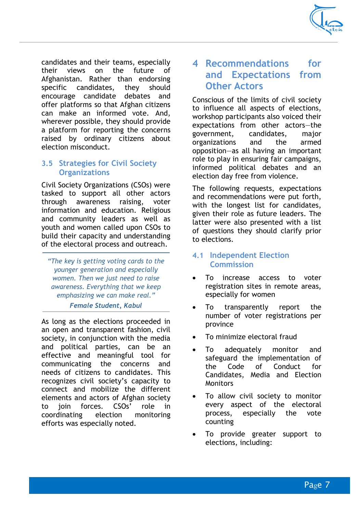

candidates and their teams, especially their views on the future of Afghanistan. Rather than endorsing specific candidates, they should encourage candidate debates and offer platforms so that Afghan citizens can make an informed vote. And, wherever possible, they should provide a platform for reporting the concerns raised by ordinary citizens about election misconduct.

#### **3.5 Strategies for Civil Society Organizations**

Civil Society Organizations (CSOs) were tasked to support all other actors through awareness raising, voter information and education. Religious and community leaders as well as youth and women called upon CSOs to build their capacity and understanding of the electoral process and outreach.

*´The key is getting voting cards to the younger generation and especially women. Then we just need to raise awareness. Everything that we keep emphasizing we can make real.µ*

*Female Student, Kabul*

As long as the elections proceeded in an open and transparent fashion, civil society, in conjunction with the media and political parties, can be an effective and meaningful tool for communicating the concerns and needs of citizens to candidates. This recognizes civil society's capacity to connect and mobilize the different elements and actors of Afghan society to join forces. CSOs' role in coordinating election monitoring efforts was especially noted.

## **4 Recommendations for and Expectations from Other Actors**

Conscious of the limits of civil society to influence all aspects of elections, workshop participants also voiced their expectations from other actors-the government, candidates, major organizations and the armed opposition-as all having an important role to play in ensuring fair campaigns, informed political debates and an election day free from violence.

The following requests, expectations and recommendations were put forth, with the longest list for candidates, given their role as future leaders. The latter were also presented with a list of questions they should clarify prior to elections.

#### **4.1 Independent Election Commission**

- To increase access to voter registration sites in remote areas, especially for women
- To transparently report the number of voter registrations per province
- To minimize electoral fraud
- To adequately monitor and safeguard the implementation of the Code of Conduct for Candidates, Media and Election **Monitors**
- To allow civil society to monitor every aspect of the electoral process, especially the vote counting
- To provide greater support to elections, including: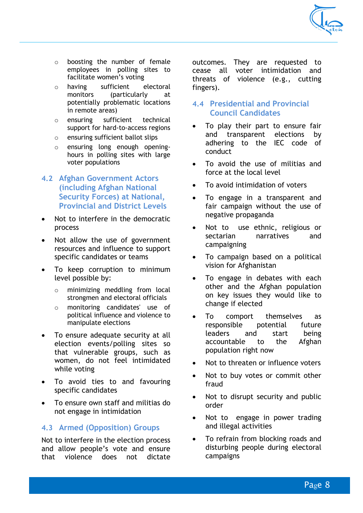

- o boosting the number of female employees in polling sites to facilitate women's voting
- o having sufficient electoral monitors (particularly at potentially problematic locations in remote areas)
- o ensuring sufficient technical support for hard-to-access regions
- o ensuring sufficient ballot slips
- $\circ$  ensuring long enough openinghours in polling sites with large voter populations
- **4.2 Afghan Government Actors (including Afghan National Security Forces) at National, Provincial and District Levels**
- Not to interfere in the democratic process
- Not allow the use of government resources and influence to support specific candidates or teams
- To keep corruption to minimum level possible by:
	- o minimizing meddling from local strongmen and electoral officials
	- o monitoring candidates' use of political influence and violence to manipulate elections
- To ensure adequate security at all election events/polling sites so that vulnerable groups, such as women, do not feel intimidated while voting
- To avoid ties to and favouring specific candidates
- To ensure own staff and militias do not engage in intimidation

#### **4.3 Armed (Opposition) Groups**

Not to interfere in the election process and allow people's vote and ensure that violence does not dictate

outcomes. They are requested to cease all voter intimidation and threats of violence (e.g., cutting fingers).

#### **4.4 Presidential and Provincial Council Candidates**

- To play their part to ensure fair and transparent elections by adhering to the IEC code of conduct
- To avoid the use of militias and force at the local level
- To avoid intimidation of voters
- To engage in a transparent and fair campaign without the use of negative propaganda
- Not to use ethnic, religious or sectarian narratives and campaigning
- To campaign based on a political vision for Afghanistan
- To engage in debates with each other and the Afghan population on key issues they would like to change if elected
- To comport themselves as responsible potential future leaders and start being accountable to the Afghan population right now
- Not to threaten or influence voters
- Not to buy votes or commit other fraud
- Not to disrupt security and public order
- Not to engage in power trading and illegal activities
- To refrain from blocking roads and disturbing people during electoral campaigns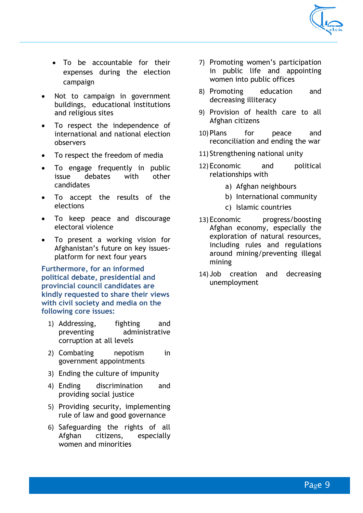

- To be accountable for their expenses during the election campaign
- Not to campaign in government buildings, educational institutions and religious sites
- To respect the independence of international and national election observers
- To respect the freedom of media
- To engage frequently in public issue debates with other candidates
- To accept the results of the elections
- To keep peace and discourage electoral violence
- To present a working vision for Afghanistan's future on key issuesplatform for next four years

**Furthermore, for an informed political debate, presidential and provincial council candidates are kindly requested to share their views with civil society and media on the following core issues:**

- 1) Addressing, fighting and preventing administrative corruption at all levels
- 2) Combating nepotism in government appointments
- 3) Ending the culture of impunity
- 4) Ending discrimination and providing social justice
- 5) Providing security, implementing rule of law and good governance
- 6) Safeguarding the rights of all Afghan citizens, especially women and minorities
- 7) Promoting women's participation in public life and appointing women into public offices
- 8) Promoting education and decreasing illiteracy
- 9) Provision of health care to all Afghan citizens
- 10) Plans for peace and reconciliation and ending the war
- 11) Strengthening national unity
- 12) Economic and political relationships with
	- a) Afghan neighbours
	- b) International community
	- c) Islamic countries
- 13) Economic progress/boosting Afghan economy, especially the exploration of natural resources, including rules and regulations around mining/preventing illegal mining
- 14) Job creation and decreasing unemployment